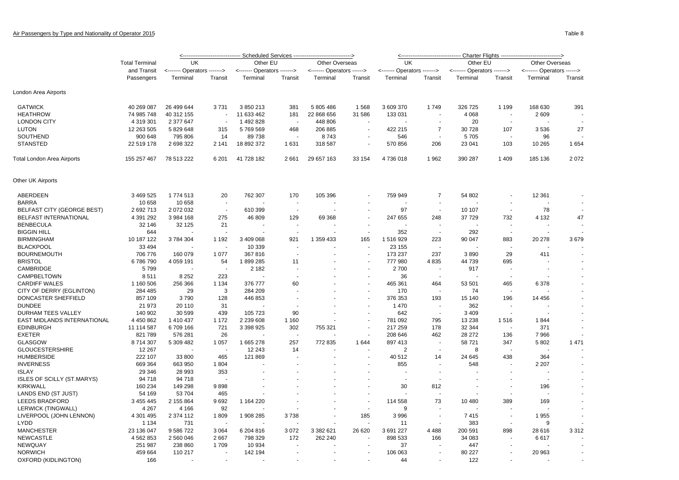|                                   |                       | <------------------------------- Scheduled Services -----------------------------><br><-------------------------------- Charter Flights ------------------------------> |                          |                             |                          |                           |                          |                             |                          |                             |         |                           |         |
|-----------------------------------|-----------------------|-------------------------------------------------------------------------------------------------------------------------------------------------------------------------|--------------------------|-----------------------------|--------------------------|---------------------------|--------------------------|-----------------------------|--------------------------|-----------------------------|---------|---------------------------|---------|
|                                   | <b>Total Terminal</b> | UK                                                                                                                                                                      |                          | Other EU                    |                          | Other Overseas            |                          | <b>UK</b>                   |                          | Other EU                    |         | Other Overseas            |         |
|                                   | and Transit           | <------- Operators ------->                                                                                                                                             |                          | <------- Operators -------> |                          | <------ Operators ------> |                          | <------- Operators -------> |                          | <------- Operators -------> |         | <------ Operators ------> |         |
|                                   | Passengers            | Terminal                                                                                                                                                                | Transit                  | Terminal                    | Transit                  | Terminal                  | Transit                  | Terminal                    | Transit                  | Terminal                    | Transit | Terminal                  | Transit |
| London Area Airports              |                       |                                                                                                                                                                         |                          |                             |                          |                           |                          |                             |                          |                             |         |                           |         |
| <b>GATWICK</b>                    | 40 269 087            | 26 499 644                                                                                                                                                              | 3731                     | 3850213                     | 381                      | 5 805 486                 | 1568                     | 3 609 370                   | 1749                     | 326 725                     | 1 1 9 9 | 168 630                   | 391     |
| <b>HEATHROW</b>                   | 74 985 748            | 40 312 155                                                                                                                                                              |                          | 11 633 462                  | 181                      | 22 868 656                | 31 586                   | 133 031                     |                          | 4 0 68                      | $\sim$  | 2 609                     |         |
| <b>LONDON CITY</b>                | 4 319 301             | 2 377 647                                                                                                                                                               | $\overline{\phantom{a}}$ | 1492828                     | $\overline{\phantom{a}}$ | 448 806                   |                          |                             |                          | 20                          |         |                           |         |
| <b>LUTON</b>                      | 12 263 505            | 5 829 648                                                                                                                                                               | 315                      | 5769569                     | 468                      | 206 885                   |                          | 422 215                     | $\overline{7}$           | 30 728                      | 107     | 3536                      | 27      |
| <b>SOUTHEND</b>                   | 900 648               | 795 806                                                                                                                                                                 | 14                       | 89738                       |                          | 8743                      |                          | 546                         |                          | 5705                        |         | 96                        |         |
| <b>STANSTED</b>                   | 22 519 178            | 2 698 322                                                                                                                                                               | 2 1 4 1                  | 18 892 372                  | 1631                     | 318 587                   | $\overline{\phantom{a}}$ | 570 856                     | 206                      | 23 041                      | 103     | 10 265                    | 1 6 5 4 |
|                                   |                       |                                                                                                                                                                         |                          |                             |                          |                           |                          |                             |                          |                             |         |                           |         |
| Total London Area Airports        | 155 257 467           | 78 513 222                                                                                                                                                              | 6 2 0 1                  | 41 728 182                  | 2661                     | 29 657 163                | 33 154                   | 4736018                     | 1962                     | 390 287                     | 1 4 0 9 | 185 136                   | 2072    |
| Other UK Airports                 |                       |                                                                                                                                                                         |                          |                             |                          |                           |                          |                             |                          |                             |         |                           |         |
| ABERDEEN                          | 3 469 525             | 1774513                                                                                                                                                                 | 20                       | 762 307                     | 170                      | 105 396                   |                          | 759 949                     | $\overline{7}$           | 54 802                      |         | 12 3 61                   |         |
| <b>BARRA</b>                      | 10 658                | 10 658                                                                                                                                                                  |                          |                             |                          |                           |                          |                             |                          |                             |         |                           |         |
| <b>BELFAST CITY (GEORGE BEST)</b> | 2 692 713             | 2 072 032                                                                                                                                                               | $\overline{\phantom{a}}$ | 610 399                     | $\overline{\phantom{a}}$ |                           |                          | 97                          | $\sim$                   | 10 107                      |         | 78                        |         |
| BELFAST INTERNATIONAL             | 4 391 292             | 3 984 168                                                                                                                                                               | 275                      | 46 809                      | 129                      | 69 3 68                   |                          | 247 655                     | 248                      | 37 729                      | 732     | 4 1 3 2                   | 47      |
| <b>BENBECULA</b>                  | 32 146                | 32 125                                                                                                                                                                  | 21                       |                             |                          |                           |                          |                             |                          |                             |         |                           |         |
| <b>BIGGIN HILL</b>                | 644                   |                                                                                                                                                                         |                          |                             |                          |                           | $\overline{\phantom{a}}$ | 352                         | $\overline{\phantom{a}}$ | 292                         | $\sim$  |                           |         |
| <b>BIRMINGHAM</b>                 | 10 187 122            | 3784304                                                                                                                                                                 | 1 1 9 2                  | 3 409 068                   | 921                      | 1 359 433                 | 165                      | 1516929                     | 223                      | 90 047                      | 883     | 20 278                    | 3679    |
| <b>BLACKPOOL</b>                  | 33 4 94               |                                                                                                                                                                         |                          | 10 339                      |                          |                           |                          | 23 155                      |                          |                             |         |                           |         |
| <b>BOURNEMOUTH</b>                | 706 776               | 160 079                                                                                                                                                                 | 1 0 7 7                  | 367816                      | $\overline{a}$           |                           |                          | 173 237                     | 237                      | 3890                        | 29      | 411                       |         |
| <b>BRISTOL</b>                    | 6786790               | 4 0 59 1 91                                                                                                                                                             | 54                       | 1899 285                    | 11                       |                           |                          | 777 980                     | 4 8 3 5                  | 44 739                      | 695     |                           |         |
| CAMBRIDGE                         | 5799                  |                                                                                                                                                                         |                          | 2 1 8 2                     |                          |                           |                          | 2700                        |                          | 917                         |         |                           |         |
| CAMPBELTOWN                       |                       |                                                                                                                                                                         |                          |                             |                          |                           | $\overline{\phantom{a}}$ |                             |                          |                             |         |                           |         |
| <b>CARDIFF WALES</b>              | 8511                  | 8 2 5 2                                                                                                                                                                 | 223                      |                             | 60                       |                           | $\overline{\phantom{a}}$ | 36                          | 464                      |                             |         |                           |         |
|                                   | 1 160 506             | 256 366                                                                                                                                                                 | 1 1 3 4                  | 376 777                     |                          |                           |                          | 465 361                     |                          | 53 501                      | 465     | 6378                      |         |
| CITY OF DERRY (EGLINTON)          | 284 485               | 29                                                                                                                                                                      | 3                        | 284 209                     |                          |                           |                          | 170                         |                          | 74                          |         |                           |         |
| DONCASTER SHEFFIELD               | 857 109               | 3790                                                                                                                                                                    | 128                      | 446 853                     |                          |                           | $\overline{\phantom{a}}$ | 376 353                     | 193                      | 15 140                      | 196     | 14 456                    |         |
| <b>DUNDEE</b>                     | 21 973                | 20 110                                                                                                                                                                  | 31                       |                             |                          |                           |                          | 1 4 7 0                     |                          | 362                         |         |                           |         |
| DURHAM TEES VALLEY                | 140 902               | 30 599                                                                                                                                                                  | 439                      | 105 723                     | 90                       |                           |                          | 642                         |                          | 3 4 0 9                     |         |                           |         |
| EAST MIDLANDS INTERNATIONAL       | 4 450 862             | 1 410 437                                                                                                                                                               | 1 1 7 2                  | 2 2 3 6 6 0 8               | 1 1 6 0                  |                           | $\overline{\phantom{a}}$ | 781 092                     | 795                      | 13 2 38                     | 1516    | 1844                      |         |
| <b>EDINBURGH</b>                  | 11 114 587            | 6709166                                                                                                                                                                 | 721                      | 3 3 9 8 9 2 5               | 302                      | 755 321                   |                          | 217 259                     | 178                      | 32 344                      |         | 371                       |         |
| <b>EXETER</b>                     | 821 789               | 576 281                                                                                                                                                                 | 26                       |                             |                          |                           |                          | 208 646                     | 462                      | 28 27 2                     | 136     | 7966                      |         |
| <b>GLASGOW</b>                    | 8714307               | 5 309 482                                                                                                                                                               | 1 0 5 7                  | 1665278                     | 257                      | 772 835                   | 1 644                    | 897 413                     |                          | 58721                       | 347     | 5802                      | 1 4 7 1 |
| <b>GLOUCESTERSHIRE</b>            | 12 267                |                                                                                                                                                                         |                          | 12 243                      | 14                       |                           |                          | $\overline{2}$              | $\overline{a}$           | 8                           |         |                           |         |
| <b>HUMBERSIDE</b>                 | 222 107               | 33 800                                                                                                                                                                  | 465                      | 121 869                     |                          |                           |                          | 40 512                      | 14                       | 24 645                      | 438     | 364                       |         |
| <b>INVERNESS</b>                  | 669 364               | 663 950                                                                                                                                                                 | 1804                     |                             |                          |                           |                          | 855                         |                          | 548                         |         | 2 2 0 7                   |         |
| <b>ISLAY</b>                      | 29 346                | 28 993                                                                                                                                                                  | 353                      |                             |                          |                           |                          |                             |                          |                             |         |                           |         |
| ISLES OF SCILLY (ST.MARYS)        | 94 718                | 94 718                                                                                                                                                                  |                          |                             |                          |                           |                          |                             |                          |                             |         |                           |         |
| <b>KIRKWALL</b>                   | 160 234               | 149 298                                                                                                                                                                 | 9898                     |                             |                          |                           |                          | 30                          | 812                      |                             |         | 196                       |         |
| LANDS END (ST JUST)               | 54 169                | 53 704                                                                                                                                                                  | 465                      |                             |                          |                           |                          |                             |                          |                             |         |                           |         |
| <b>LEEDS BRADFORD</b>             | 3 455 445             | 2 155 864                                                                                                                                                               | 9692                     | 1 164 220                   |                          |                           |                          | 114 558                     | 73                       | 10 480                      | 389     | 169                       |         |
| LERWICK (TINGWALL)                | 4 2 6 7               | 4 1 6 6                                                                                                                                                                 | 92                       |                             |                          |                           | $\overline{\phantom{a}}$ | 9                           |                          |                             |         |                           |         |
| LIVERPOOL (JOHN LENNON)           | 4 301 495             | 2 374 112                                                                                                                                                               | 1809                     | 1 908 285                   | 3738                     |                           | 185                      | 3996                        |                          | 7415                        | ÷.      | 1955                      |         |
| <b>LYDD</b>                       | 1 1 3 4               | 731                                                                                                                                                                     |                          |                             |                          |                           |                          | 11                          |                          | 383                         |         | 9                         |         |
| <b>MANCHESTER</b>                 | 23 136 047            | 9 586 722                                                                                                                                                               | 3 0 6 4                  | 6 204 816                   | 3072                     | 3 382 621                 | 26 620                   | 3 691 227                   | 4 4 8 8                  | 200 591                     | 898     | 28 616                    | 3 3 1 2 |
| <b>NEWCASTLE</b>                  | 4 5 6 2 8 5 3         | 2 560 046                                                                                                                                                               | 2667                     | 798 329                     | 172                      | 262 240                   |                          | 898 533                     | 166                      | 34 083                      |         | 6617                      |         |
| <b>NEWQUAY</b>                    | 251 987               | 238 860                                                                                                                                                                 | 1709                     | 10 934                      |                          |                           |                          | 37                          |                          | 447                         |         |                           |         |
| <b>NORWICH</b>                    | 459 664               | 110 217                                                                                                                                                                 |                          | 142 194                     |                          |                           |                          | 106 063                     |                          | 80 227                      |         | 20 963                    |         |
| OXFORD (KIDLINGTON)               | 166                   |                                                                                                                                                                         |                          |                             |                          |                           |                          | 44                          |                          | 122                         |         |                           |         |
|                                   |                       |                                                                                                                                                                         |                          |                             |                          |                           |                          |                             |                          |                             |         |                           |         |